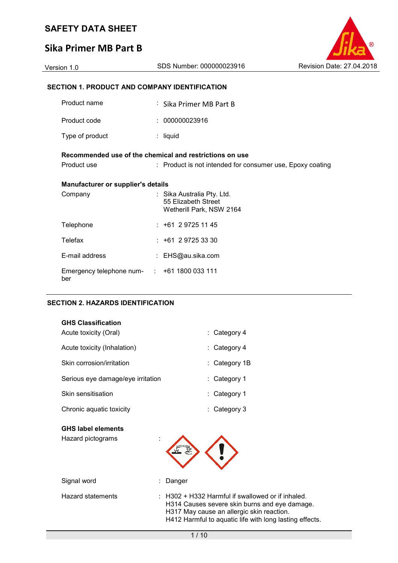# **Sika Primer MB Part B**



| Version 1.0 | SDS Number: 000000023916 | Revision Date: 27.04.2018 |
|-------------|--------------------------|---------------------------|
|             |                          |                           |

# **SECTION 1. PRODUCT AND COMPANY IDENTIFICATION**

| Product name                                            |  | : Sika Primer MB Part B                                                       |  |
|---------------------------------------------------------|--|-------------------------------------------------------------------------------|--|
| Product code                                            |  | : 000000023916                                                                |  |
| Type of product                                         |  | $:$ liquid                                                                    |  |
| Recommended use of the chemical and restrictions on use |  |                                                                               |  |
| Product use                                             |  | : Product is not intended for consumer use, Epoxy coating                     |  |
| <b>Manufacturer or supplier's details</b>               |  |                                                                               |  |
| Company                                                 |  | : Sika Australia Pty. Ltd.<br>55 Elizabeth Street<br>Wetherill Park, NSW 2164 |  |
| Telephone                                               |  | $: +61297251145$                                                              |  |
| Telefax                                                 |  | $: +61297253330$                                                              |  |
| E-mail address                                          |  | : EHS@au.sika.com                                                             |  |
| Emergency telephone num- : +61 1800 033 111<br>ber      |  |                                                                               |  |

#### **SECTION 2. HAZARDS IDENTIFICATION**

| <b>GHS Classification</b>         |               |
|-----------------------------------|---------------|
| Acute toxicity (Oral)             | : Category 4  |
| Acute toxicity (Inhalation)       | : Category 4  |
| Skin corrosion/irritation         | : Category 1B |
| Serious eye damage/eye irritation | : Category 1  |
| Skin sensitisation                | : Category 1  |
| Chronic aquatic toxicity          | : Category 3  |

### **GHS label elements**  Hazard pictograms :

Signal word : Danger

Hazard statements : H302 + H332 Harmful if swallowed or if inhaled. H314 Causes severe skin burns and eye damage. H317 May cause an allergic skin reaction. H412 Harmful to aquatic life with long lasting effects.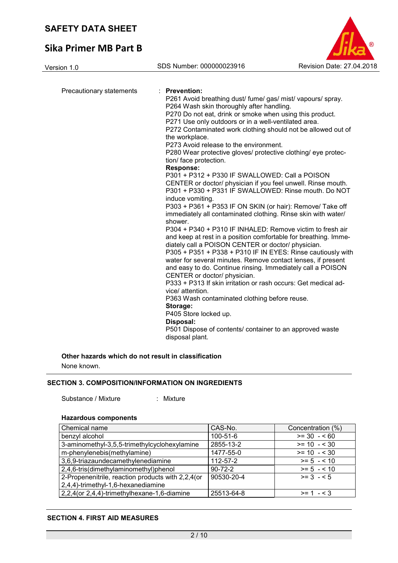# **Sika Primer MB Part B**

Version 1.0 SDS Number: 000000023916 Revision Date: 27.04.2018

| Precautionary statements | : Prevention:                                                   |
|--------------------------|-----------------------------------------------------------------|
|                          | P261 Avoid breathing dust/ fume/ gas/ mist/ vapours/ spray.     |
|                          | P264 Wash skin thoroughly after handling.                       |
|                          | P270 Do not eat, drink or smoke when using this product.        |
|                          | P271 Use only outdoors or in a well-ventilated area.            |
|                          | P272 Contaminated work clothing should not be allowed out of    |
|                          | the workplace.                                                  |
|                          | P273 Avoid release to the environment.                          |
|                          | P280 Wear protective gloves/ protective clothing/ eye protec-   |
|                          | tion/ face protection.                                          |
|                          | <b>Response:</b>                                                |
|                          | P301 + P312 + P330 IF SWALLOWED: Call a POISON                  |
|                          | CENTER or doctor/ physician if you feel unwell. Rinse mouth.    |
|                          | P301 + P330 + P331 IF SWALLOWED: Rinse mouth, Do NOT            |
|                          | induce vomiting.                                                |
|                          | P303 + P361 + P353 IF ON SKIN (or hair): Remove/ Take off       |
|                          | immediately all contaminated clothing. Rinse skin with water/   |
|                          | shower.                                                         |
|                          | P304 + P340 + P310 IF INHALED: Remove victim to fresh air       |
|                          | and keep at rest in a position comfortable for breathing. Imme- |
|                          | diately call a POISON CENTER or doctor/ physician.              |
|                          | P305 + P351 + P338 + P310 IF IN EYES: Rinse cautiously with     |
|                          | water for several minutes. Remove contact lenses, if present    |
|                          | and easy to do. Continue rinsing. Immediately call a POISON     |
|                          | CENTER or doctor/ physician.                                    |
|                          | P333 + P313 If skin irritation or rash occurs: Get medical ad-  |
|                          | vice/ attention.                                                |
|                          | P363 Wash contaminated clothing before reuse.                   |
|                          | Storage:                                                        |
|                          | P405 Store locked up.                                           |
|                          | Disposal:                                                       |
|                          | P501 Dispose of contents/ container to an approved waste        |
|                          | disposal plant.                                                 |

**Other hazards which do not result in classification**

None known.

#### **SECTION 3. COMPOSITION/INFORMATION ON INGREDIENTS**

Substance / Mixture : Mixture :

#### **Hazardous components**

| Chemical name                                     | CAS-No.        | Concentration (%) |
|---------------------------------------------------|----------------|-------------------|
| benzyl alcohol                                    | $100 - 51 - 6$ | $>= 30 - 60$      |
| 3-aminomethyl-3,5,5-trimethylcyclohexylamine      | 2855-13-2      | $>= 10 - 530$     |
| m-phenylenebis(methylamine)                       | 1477-55-0      | $>= 10 - 530$     |
| 3,6,9-triazaundecamethylenediamine                | 112-57-2       | $>= 5 - < 10$     |
| 2,4,6-tris(dimethylaminomethyl)phenol             | $90 - 72 - 2$  | $>= 5 - 10$       |
| 2-Propenenitrile, reaction products with 2,2,4(or | 90530-20-4     | $>= 3 - 5$        |
| 2,4,4)-trimethyl-1,6-hexanediamine                |                |                   |
| 2,2,4(or 2,4,4)-trimethylhexane-1,6-diamine       | 25513-64-8     | $>= 1 - 3$        |

#### **SECTION 4. FIRST AID MEASURES**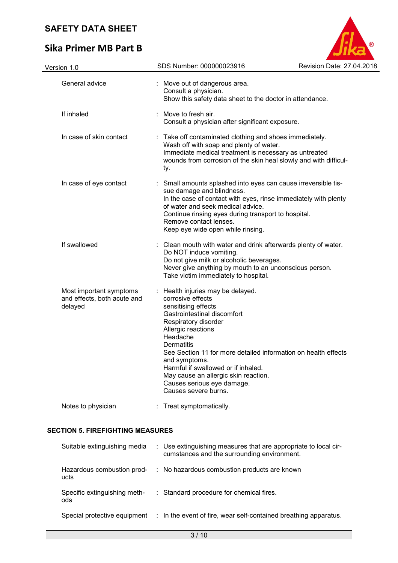# **Sika Primer MB Part B**



| Version 1.0                                                       | SDS Number: 000000023916                                                                                                                                                                                                                                                                                                                                                                                          | Revision Date: 27.04.2018 |
|-------------------------------------------------------------------|-------------------------------------------------------------------------------------------------------------------------------------------------------------------------------------------------------------------------------------------------------------------------------------------------------------------------------------------------------------------------------------------------------------------|---------------------------|
| General advice                                                    | Move out of dangerous area.<br>Consult a physician.<br>Show this safety data sheet to the doctor in attendance.                                                                                                                                                                                                                                                                                                   |                           |
| If inhaled                                                        | : Move to fresh air.<br>Consult a physician after significant exposure.                                                                                                                                                                                                                                                                                                                                           |                           |
| In case of skin contact                                           | : Take off contaminated clothing and shoes immediately.<br>Wash off with soap and plenty of water.<br>Immediate medical treatment is necessary as untreated<br>wounds from corrosion of the skin heal slowly and with difficul-<br>ty.                                                                                                                                                                            |                           |
| In case of eye contact                                            | Small amounts splashed into eyes can cause irreversible tis-<br>sue damage and blindness.<br>In the case of contact with eyes, rinse immediately with plenty<br>of water and seek medical advice.<br>Continue rinsing eyes during transport to hospital.<br>Remove contact lenses.<br>Keep eye wide open while rinsing.                                                                                           |                           |
| If swallowed                                                      | Clean mouth with water and drink afterwards plenty of water.<br>Do NOT induce vomiting.<br>Do not give milk or alcoholic beverages.<br>Never give anything by mouth to an unconscious person.<br>Take victim immediately to hospital.                                                                                                                                                                             |                           |
| Most important symptoms<br>and effects, both acute and<br>delayed | Health injuries may be delayed.<br>corrosive effects<br>sensitising effects<br>Gastrointestinal discomfort<br>Respiratory disorder<br>Allergic reactions<br>Headache<br><b>Dermatitis</b><br>See Section 11 for more detailed information on health effects<br>and symptoms.<br>Harmful if swallowed or if inhaled.<br>May cause an allergic skin reaction.<br>Causes serious eye damage.<br>Causes severe burns. |                           |
| Notes to physician                                                | Treat symptomatically.                                                                                                                                                                                                                                                                                                                                                                                            |                           |
|                                                                   |                                                                                                                                                                                                                                                                                                                                                                                                                   |                           |

### **SECTION 5. FIREFIGHTING MEASURES**

| Suitable extinguishing media        | : Use extinguishing measures that are appropriate to local cir-<br>cumstances and the surrounding environment. |
|-------------------------------------|----------------------------------------------------------------------------------------------------------------|
| Hazardous combustion prod-<br>ucts  | : No hazardous combustion products are known                                                                   |
| Specific extinguishing meth-<br>ods | : Standard procedure for chemical fires.                                                                       |
| Special protective equipment        | : In the event of fire, wear self-contained breathing apparatus.                                               |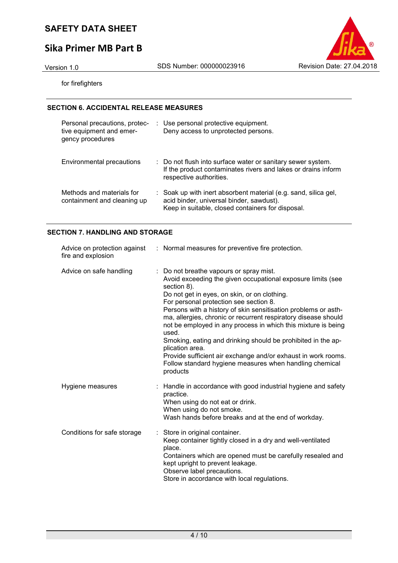# **Sika Primer MB Part B**



for firefighters

### **SECTION 6. ACCIDENTAL RELEASE MEASURES**

| Personal precautions, protec-<br>tive equipment and emer-<br>gency procedures | : Use personal protective equipment.<br>Deny access to unprotected persons.                                                                                      |
|-------------------------------------------------------------------------------|------------------------------------------------------------------------------------------------------------------------------------------------------------------|
| Environmental precautions                                                     | : Do not flush into surface water or sanitary sewer system.<br>If the product contaminates rivers and lakes or drains inform<br>respective authorities.          |
| Methods and materials for<br>containment and cleaning up                      | : Soak up with inert absorbent material (e.g. sand, silica gel,<br>acid binder, universal binder, sawdust).<br>Keep in suitable, closed containers for disposal. |

### **SECTION 7. HANDLING AND STORAGE**

| fire and explosion          | Advice on protection against : Normal measures for preventive fire protection.                                                                                                                                                                                                                                                                                                                                                                                                                                                                                                                                                                           |
|-----------------------------|----------------------------------------------------------------------------------------------------------------------------------------------------------------------------------------------------------------------------------------------------------------------------------------------------------------------------------------------------------------------------------------------------------------------------------------------------------------------------------------------------------------------------------------------------------------------------------------------------------------------------------------------------------|
| Advice on safe handling     | : Do not breathe vapours or spray mist.<br>Avoid exceeding the given occupational exposure limits (see<br>section 8).<br>Do not get in eyes, on skin, or on clothing.<br>For personal protection see section 8.<br>Persons with a history of skin sensitisation problems or asth-<br>ma, allergies, chronic or recurrent respiratory disease should<br>not be employed in any process in which this mixture is being<br>used.<br>Smoking, eating and drinking should be prohibited in the ap-<br>plication area.<br>Provide sufficient air exchange and/or exhaust in work rooms.<br>Follow standard hygiene measures when handling chemical<br>products |
| Hygiene measures            | Handle in accordance with good industrial hygiene and safety<br>practice.<br>When using do not eat or drink.<br>When using do not smoke.<br>Wash hands before breaks and at the end of workday.                                                                                                                                                                                                                                                                                                                                                                                                                                                          |
| Conditions for safe storage | : Store in original container.<br>Keep container tightly closed in a dry and well-ventilated<br>place.<br>Containers which are opened must be carefully resealed and<br>kept upright to prevent leakage.<br>Observe label precautions.<br>Store in accordance with local regulations.                                                                                                                                                                                                                                                                                                                                                                    |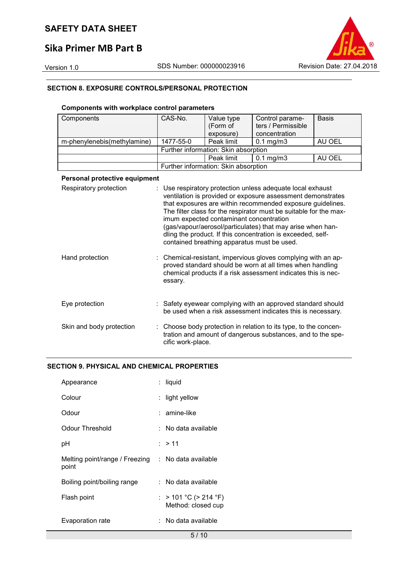# **Sika Primer MB Part B**



#### **SECTION 8. EXPOSURE CONTROLS/PERSONAL PROTECTION**

### **Components with workplace control parameters**

| Components                    | CAS-No.           | Value type<br>(Form of<br>exposure)                                                    | Control parame-<br>ters / Permissible<br>concentration                                                                                                                                                                                                                                                                                                                                    | <b>Basis</b> |
|-------------------------------|-------------------|----------------------------------------------------------------------------------------|-------------------------------------------------------------------------------------------------------------------------------------------------------------------------------------------------------------------------------------------------------------------------------------------------------------------------------------------------------------------------------------------|--------------|
| m-phenylenebis(methylamine)   | 1477-55-0         | Peak limit                                                                             | $0.1$ mg/m $3$                                                                                                                                                                                                                                                                                                                                                                            | AU OEL       |
|                               |                   | Further information: Skin absorption                                                   |                                                                                                                                                                                                                                                                                                                                                                                           |              |
|                               |                   | Peak limit                                                                             | $0.1$ mg/m $3$                                                                                                                                                                                                                                                                                                                                                                            | AU OEL       |
|                               |                   | Further information: Skin absorption                                                   |                                                                                                                                                                                                                                                                                                                                                                                           |              |
| Personal protective equipment |                   |                                                                                        |                                                                                                                                                                                                                                                                                                                                                                                           |              |
| Respiratory protection        |                   | imum expected contaminant concentration<br>contained breathing apparatus must be used. | : Use respiratory protection unless adequate local exhaust<br>ventilation is provided or exposure assessment demonstrates<br>that exposures are within recommended exposure guidelines.<br>The filter class for the respirator must be suitable for the max-<br>(gas/vapour/aerosol/particulates) that may arise when han-<br>dling the product. If this concentration is exceeded, self- |              |
| Hand protection               | essary.           |                                                                                        | Chemical-resistant, impervious gloves complying with an ap-<br>proved standard should be worn at all times when handling<br>chemical products if a risk assessment indicates this is nec-                                                                                                                                                                                                 |              |
| Eye protection                |                   |                                                                                        | : Safety eyewear complying with an approved standard should<br>be used when a risk assessment indicates this is necessary.                                                                                                                                                                                                                                                                |              |
| Skin and body protection      | cific work-place. |                                                                                        | : Choose body protection in relation to its type, to the concen-<br>tration and amount of dangerous substances, and to the spe-                                                                                                                                                                                                                                                           |              |

#### **SECTION 9. PHYSICAL AND CHEMICAL PROPERTIES**

| Appearance                              | : liquid                                    |
|-----------------------------------------|---------------------------------------------|
| Colour                                  | : light yellow                              |
| Odour                                   | : amine-like                                |
| Odour Threshold                         | :   No data available                       |
| рH                                      | : > 11                                      |
| Melting point/range / Freezing<br>point | : No data available                         |
| Boiling point/boiling range             | :   No data available                       |
| Flash point                             | : > 101 °C (> 214 °F)<br>Method: closed cup |
| Evaporation rate                        | :   No data available                       |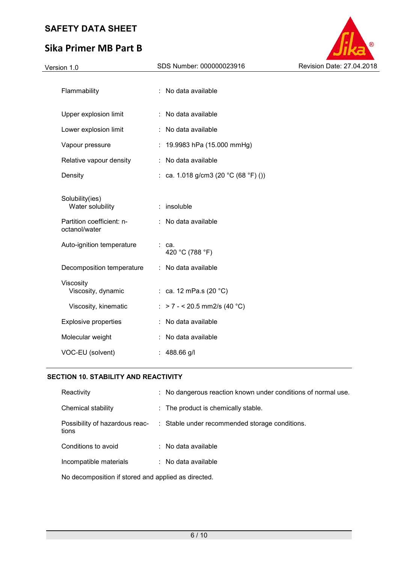# **Sika Primer MB Part B**



### **SECTION 10. STABILITY AND REACTIVITY**

| Reactivity                                          | : No dangerous reaction known under conditions of normal use. |
|-----------------------------------------------------|---------------------------------------------------------------|
| Chemical stability                                  | : The product is chemically stable.                           |
| Possibility of hazardous reac-<br>tions             | : Stable under recommended storage conditions.                |
| Conditions to avoid                                 | $\therefore$ No data available                                |
| Incompatible materials                              | $\therefore$ No data available                                |
| No decomposition if stored and applied as directed. |                                                               |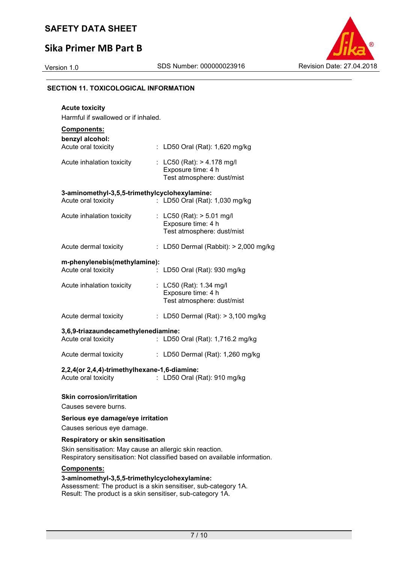# **Sika Primer MB Part B**



#### **SECTION 11. TOXICOLOGICAL INFORMATION**

| <b>Acute toxicity</b>                                                                                   |                                                                                  |  |  |  |  |  |  |
|---------------------------------------------------------------------------------------------------------|----------------------------------------------------------------------------------|--|--|--|--|--|--|
| Harmful if swallowed or if inhaled.                                                                     |                                                                                  |  |  |  |  |  |  |
| Components:                                                                                             |                                                                                  |  |  |  |  |  |  |
| benzyl alcohol:<br>Acute oral toxicity                                                                  | : LD50 Oral (Rat): 1,620 mg/kg                                                   |  |  |  |  |  |  |
| Acute inhalation toxicity                                                                               | : LC50 (Rat): $> 4.178$ mg/l<br>Exposure time: 4 h<br>Test atmosphere: dust/mist |  |  |  |  |  |  |
| 3-aminomethyl-3,5,5-trimethylcyclohexylamine:                                                           |                                                                                  |  |  |  |  |  |  |
| Acute oral toxicity                                                                                     | LD50 Oral (Rat): 1,030 mg/kg                                                     |  |  |  |  |  |  |
| Acute inhalation toxicity                                                                               | : LC50 (Rat): > 5.01 mg/l<br>Exposure time: 4 h<br>Test atmosphere: dust/mist    |  |  |  |  |  |  |
| Acute dermal toxicity                                                                                   | : LD50 Dermal (Rabbit): $> 2,000$ mg/kg                                          |  |  |  |  |  |  |
| m-phenylenebis(methylamine):                                                                            |                                                                                  |  |  |  |  |  |  |
| Acute oral toxicity                                                                                     | LD50 Oral (Rat): 930 mg/kg                                                       |  |  |  |  |  |  |
| Acute inhalation toxicity                                                                               | : LC50 (Rat): 1.34 mg/l<br>Exposure time: 4 h<br>Test atmosphere: dust/mist      |  |  |  |  |  |  |
| Acute dermal toxicity                                                                                   | : LD50 Dermal (Rat): $> 3,100$ mg/kg                                             |  |  |  |  |  |  |
| 3,6,9-triazaundecamethylenediamine:                                                                     |                                                                                  |  |  |  |  |  |  |
| Acute oral toxicity                                                                                     | : LD50 Oral (Rat): 1,716.2 mg/kg                                                 |  |  |  |  |  |  |
| Acute dermal toxicity                                                                                   | : LD50 Dermal (Rat): 1,260 mg/kg                                                 |  |  |  |  |  |  |
| 2,2,4(or 2,4,4)-trimethylhexane-1,6-diamine:<br>Acute oral toxicity<br>LD50 Oral (Rat): 910 mg/kg<br>t. |                                                                                  |  |  |  |  |  |  |
| <b>Skin corrosion/irritation</b>                                                                        |                                                                                  |  |  |  |  |  |  |

Causes severe burns.

#### **Serious eye damage/eye irritation**

Causes serious eye damage.

### **Respiratory or skin sensitisation**

Skin sensitisation: May cause an allergic skin reaction. Respiratory sensitisation: Not classified based on available information.

#### **Components:**

#### **3-aminomethyl-3,5,5-trimethylcyclohexylamine:**

Assessment: The product is a skin sensitiser, sub-category 1A. Result: The product is a skin sensitiser, sub-category 1A.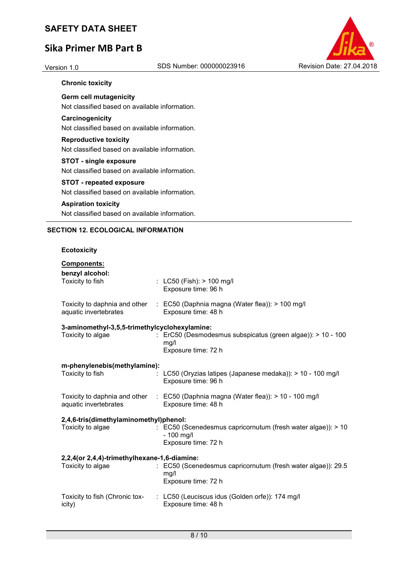# **Sika Primer MB Part B**



### **Chronic toxicity**

**Germ cell mutagenicity**  Not classified based on available information.

#### **Carcinogenicity**

Not classified based on available information.

#### **Reproductive toxicity**

Not classified based on available information.

#### **STOT - single exposure**

Not classified based on available information.

#### **STOT - repeated exposure**

Not classified based on available information.

#### **Aspiration toxicity**

Not classified based on available information.

#### **SECTION 12. ECOLOGICAL INFORMATION**

#### **Ecotoxicity**

| Components:<br>benzyl alcohol:                |                                                                                                           |  |  |  |
|-----------------------------------------------|-----------------------------------------------------------------------------------------------------------|--|--|--|
| Toxicity to fish                              | : $LCS0$ (Fish): $> 100$ mg/l<br>Exposure time: 96 h                                                      |  |  |  |
| aquatic invertebrates                         | Toxicity to daphnia and other : EC50 (Daphnia magna (Water flea)): > 100 mg/l<br>Exposure time: 48 h      |  |  |  |
| 3-aminomethyl-3,5,5-trimethylcyclohexylamine: |                                                                                                           |  |  |  |
| Toxicity to algae                             | : ErC50 (Desmodesmus subspicatus (green algae)): > 10 - 100<br>mg/l<br>Exposure time: 72 h                |  |  |  |
| m-phenylenebis(methylamine):                  |                                                                                                           |  |  |  |
| Toxicity to fish                              | : LC50 (Oryzias latipes (Japanese medaka)): $> 10 - 100$ mg/l<br>Exposure time: 96 h                      |  |  |  |
| aquatic invertebrates                         | Toxicity to daphnia and other : EC50 (Daphnia magna (Water flea)): > 10 - 100 mg/l<br>Exposure time: 48 h |  |  |  |
| 2,4,6-tris(dimethylaminomethyl)phenol:        |                                                                                                           |  |  |  |
| Toxicity to algae                             | : EC50 (Scenedesmus capricornutum (fresh water algae)): > 10<br>$-100$ mg/l<br>Exposure time: 72 h        |  |  |  |
|                                               |                                                                                                           |  |  |  |
| 2,2,4(or 2,4,4)-trimethylhexane-1,6-diamine:  |                                                                                                           |  |  |  |
| Toxicity to algae                             | : EC50 (Scenedesmus capricornutum (fresh water algae)): 29.5<br>mg/l<br>Exposure time: 72 h               |  |  |  |
| Toxicity to fish (Chronic tox-<br>icity)      | : LC50 (Leuciscus idus (Golden orfe)): 174 mg/l<br>Exposure time: 48 h                                    |  |  |  |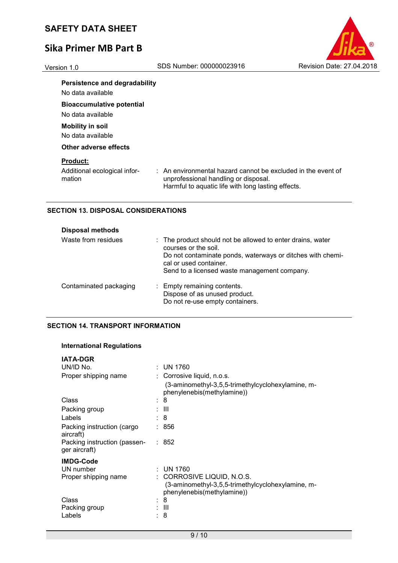# **Sika Primer MB Part B**



No data available

**Bioaccumulative potential**  No data available

# **Mobility in soil**

No data available

### **Other adverse effects**

#### **Product:**

Additional ecological information

: An environmental hazard cannot be excluded in the event of unprofessional handling or disposal. Harmful to aquatic life with long lasting effects.

### **SECTION 13. DISPOSAL CONSIDERATIONS**

| <b>Disposal methods</b> |                                                                                                                                                                                                                            |
|-------------------------|----------------------------------------------------------------------------------------------------------------------------------------------------------------------------------------------------------------------------|
| Waste from residues     | : The product should not be allowed to enter drains, water<br>courses or the soil.<br>Do not contaminate ponds, waterways or ditches with chemi-<br>cal or used container.<br>Send to a licensed waste management company. |
| Contaminated packaging  | : Empty remaining contents.<br>Dispose of as unused product.<br>Do not re-use empty containers.                                                                                                                            |

### **SECTION 14. TRANSPORT INFORMATION**

### **International Regulations**

| <b>IATA-DGR</b>                               |                                                                                                               |
|-----------------------------------------------|---------------------------------------------------------------------------------------------------------------|
| UN/ID No.                                     | $:$ UN 1760                                                                                                   |
| Proper shipping name                          | : Corrosive liquid, n.o.s.                                                                                    |
|                                               | (3-aminomethyl-3,5,5-trimethylcyclohexylamine, m-<br>phenylenebis(methylamine))                               |
| Class                                         | : 8                                                                                                           |
| Packing group                                 | : III                                                                                                         |
| Labels                                        | : 8                                                                                                           |
| Packing instruction (cargo<br>aircraft)       | : 856                                                                                                         |
| Packing instruction (passen-<br>ger aircraft) | : 852                                                                                                         |
| <b>IMDG-Code</b>                              |                                                                                                               |
| UN number                                     | : UN 1760                                                                                                     |
| Proper shipping name                          | : CORROSIVE LIQUID, N.O.S.<br>(3-aminomethyl-3,5,5-trimethylcyclohexylamine, m-<br>phenylenebis(methylamine)) |
| Class                                         | 8                                                                                                             |
| Packing group                                 | : III                                                                                                         |
| Labels                                        | 8                                                                                                             |